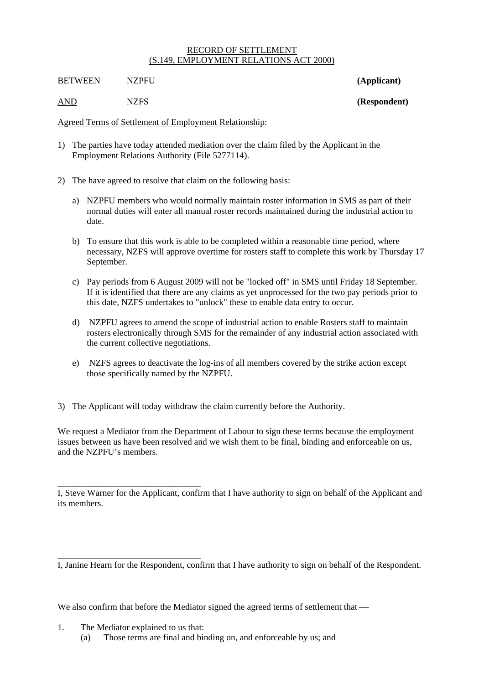## RECORD OF SETTLEMENT (S.149, EMPLOYMENT RELATIONS ACT 2000)

**BETWEEN** NZPFU (Applicant)

AND NZFS **(Respondent)**

Agreed Terms of Settlement of Employment Relationship:

- 1) The parties have today attended mediation over the claim filed by the Applicant in the Employment Relations Authority (File 5277114).
- 2) The have agreed to resolve that claim on the following basis:
	- a) NZPFU members who would normally maintain roster information in SMS as part of their normal duties will enter all manual roster records maintained during the industrial action to date.
	- b) To ensure that this work is able to be completed within a reasonable time period, where necessary, NZFS will approve overtime for rosters staff to complete this work by Thursday 17 September.
	- c) Pay periods from 6 August 2009 will not be "locked off" in SMS until Friday 18 September. If it is identified that there are any claims as yet unprocessed for the two pay periods prior to this date, NZFS undertakes to "unlock" these to enable data entry to occur.
	- d) NZPFU agrees to amend the scope of industrial action to enable Rosters staff to maintain rosters electronically through SMS for the remainder of any industrial action associated with the current collective negotiations.
	- e) NZFS agrees to deactivate the log-ins of all members covered by the strike action except those specifically named by the NZPFU.
- 3) The Applicant will today withdraw the claim currently before the Authority.

We request a Mediator from the Department of Labour to sign these terms because the employment issues between us have been resolved and we wish them to be final, binding and enforceable on us, and the NZPFU's members.

I, Steve Warner for the Applicant, confirm that I have authority to sign on behalf of the Applicant and its members.

I, Janine Hearn for the Respondent, confirm that I have authority to sign on behalf of the Respondent.

We also confirm that before the Mediator signed the agreed terms of settlement that —

1. The Mediator explained to us that:

\_\_\_\_\_\_\_\_\_\_\_\_\_\_\_\_\_\_\_\_\_\_\_\_\_\_\_\_\_\_\_\_

\_\_\_\_\_\_\_\_\_\_\_\_\_\_\_\_\_\_\_\_\_\_\_\_\_\_\_\_\_\_\_\_

(a) Those terms are final and binding on, and enforceable by us; and